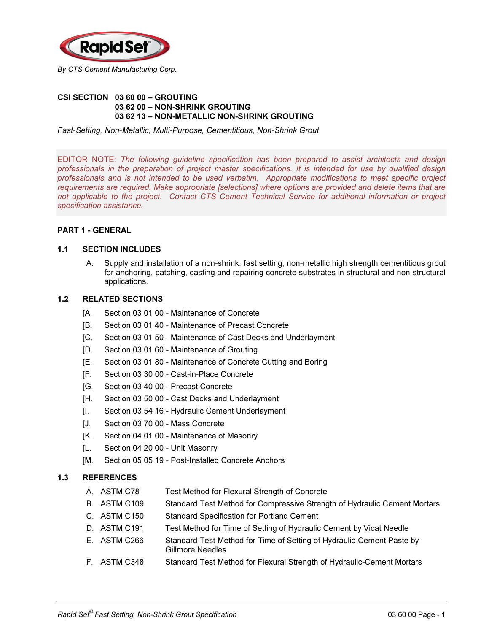

#### CSI SECTION 03 60 00 – GROUTING 03 62 00 – NON-SHRINK GROUTING 03 62 13 – NON-METALLIC NON-SHRINK GROUTING

Fast-Setting, Non-Metallic, Multi-Purpose, Cementitious, Non-Shrink Grout

EDITOR NOTE: The following guideline specification has been prepared to assist architects and design professionals in the preparation of project master specifications. It is intended for use by qualified design professionals and is not intended to be used verbatim. Appropriate modifications to meet specific project requirements are required. Make appropriate [selections] where options are provided and delete items that are not applicable to the project. Contact CTS Cement Technical Service for additional information or project specification assistance.

# PART 1 - GENERAL

## 1.1 SECTION INCLUDES

A. Supply and installation of a non-shrink, fast setting, non-metallic high strength cementitious grout for anchoring, patching, casting and repairing concrete substrates in structural and non-structural applications.

#### 1.2 RELATED SECTIONS

- [A. Section 03 01 00 Maintenance of Concrete
- [B. Section 03 01 40 Maintenance of Precast Concrete
- [C. Section 03 01 50 Maintenance of Cast Decks and Underlayment
- [D. Section 03 01 60 Maintenance of Grouting
- [E. Section 03 01 80 Maintenance of Concrete Cutting and Boring
- [F. Section 03 30 00 Cast-in-Place Concrete
- [G. Section 03 40 00 Precast Concrete
- [H. Section 03 50 00 Cast Decks and Underlayment
- [I. Section 03 54 16 Hydraulic Cement Underlayment
- [J. Section 03 70 00 Mass Concrete
- [K. Section 04 01 00 Maintenance of Masonry
- [L. Section 04 20 00 Unit Masonry
- [M. Section 05 05 19 Post-Installed Concrete Anchors

#### 1.3 REFERENCES

- A. ASTM C78 Test Method for Flexural Strength of Concrete
- B. ASTM C109 Standard Test Method for Compressive Strength of Hydraulic Cement Mortars
- C. ASTM C150 Standard Specification for Portland Cement
- D. ASTM C191 Test Method for Time of Setting of Hydraulic Cement by Vicat Needle
- E. ASTM C266 Standard Test Method for Time of Setting of Hydraulic-Cement Paste by Gillmore Needles
- F. ASTM C348 Standard Test Method for Flexural Strength of Hydraulic-Cement Mortars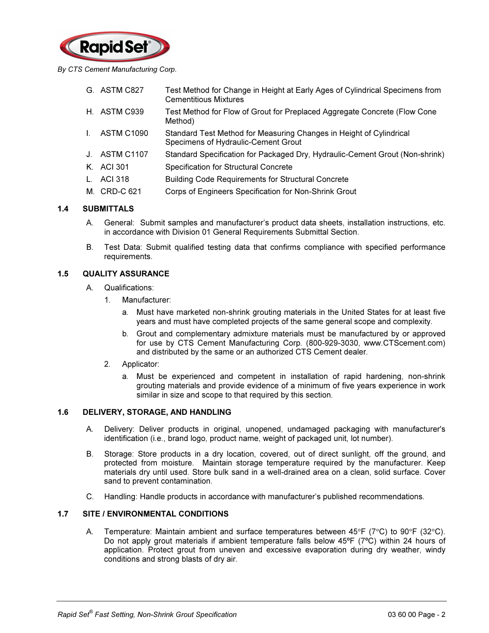

By CTS Cement Manufacturing Corp.

- G. ASTM C827 Test Method for Change in Height at Early Ages of Cylindrical Specimens from Cementitious Mixtures
- H. ASTM C939 Test Method for Flow of Grout for Preplaced Aggregate Concrete (Flow Cone Method)
- I. ASTM C1090 Standard Test Method for Measuring Changes in Height of Cylindrical Specimens of Hydraulic-Cement Grout
- J. ASTM C1107 Standard Specification for Packaged Dry, Hydraulic-Cement Grout (Non-shrink)
- K. ACI 301 Specification for Structural Concrete
- L. ACI 318 Building Code Requirements for Structural Concrete
- M. CRD-C 621 Corps of Engineers Specification for Non-Shrink Grout

## 1.4 SUBMITTALS

- A. General: Submit samples and manufacturer's product data sheets, installation instructions, etc. in accordance with Division 01 General Requirements Submittal Section.
- B. Test Data: Submit qualified testing data that confirms compliance with specified performance requirements.

## 1.5 QUALITY ASSURANCE

- A. Qualifications:
	- 1. Manufacturer:
		- a. Must have marketed non-shrink grouting materials in the United States for at least five years and must have completed projects of the same general scope and complexity.
		- b. Grout and complementary admixture materials must be manufactured by or approved for use by CTS Cement Manufacturing Corp. (800-929-3030, www.CTScement.com) and distributed by the same or an authorized CTS Cement dealer.
	- 2. Applicator:
		- a. Must be experienced and competent in installation of rapid hardening, non-shrink grouting materials and provide evidence of a minimum of five years experience in work similar in size and scope to that required by this section.

#### 1.6 DELIVERY, STORAGE, AND HANDLING

- A. Delivery: Deliver products in original, unopened, undamaged packaging with manufacturer's identification (i.e., brand logo, product name, weight of packaged unit, lot number).
- B. Storage: Store products in a dry location, covered, out of direct sunlight, off the ground, and protected from moisture. Maintain storage temperature required by the manufacturer. Keep materials dry until used. Store bulk sand in a well-drained area on a clean, solid surface. Cover sand to prevent contamination.
- C. Handling: Handle products in accordance with manufacturer's published recommendations.

## 1.7 SITE / ENVIRONMENTAL CONDITIONS

A. Temperature: Maintain ambient and surface temperatures between 45°F (7°C) to 90°F (32°C). Do not apply grout materials if ambient temperature falls below 45°F (7°C) within 24 hours of application. Protect grout from uneven and excessive evaporation during dry weather, windy conditions and strong blasts of dry air.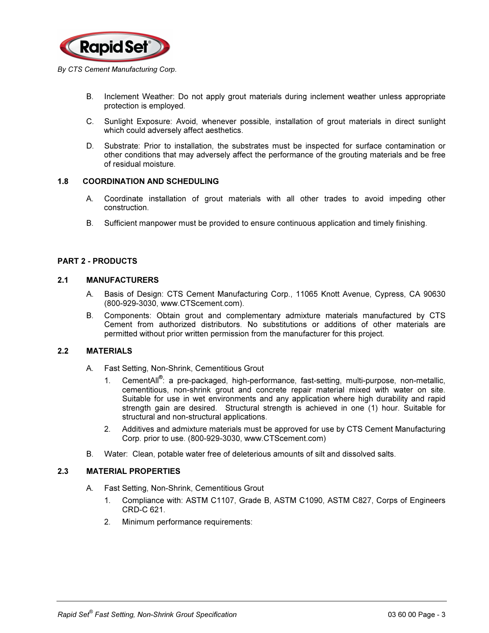

- B. Inclement Weather: Do not apply grout materials during inclement weather unless appropriate protection is employed.
- C. Sunlight Exposure: Avoid, whenever possible, installation of grout materials in direct sunlight which could adversely affect aesthetics.
- D. Substrate: Prior to installation, the substrates must be inspected for surface contamination or other conditions that may adversely affect the performance of the grouting materials and be free of residual moisture.

## 1.8 COORDINATION AND SCHEDULING

- A. Coordinate installation of grout materials with all other trades to avoid impeding other construction.
- B. Sufficient manpower must be provided to ensure continuous application and timely finishing.

## PART 2 - PRODUCTS

## 2.1 MANUFACTURERS

- A. Basis of Design: CTS Cement Manufacturing Corp., 11065 Knott Avenue, Cypress, CA 90630 (800-929-3030, www.CTScement.com).
- B. Components: Obtain grout and complementary admixture materials manufactured by CTS Cement from authorized distributors. No substitutions or additions of other materials are permitted without prior written permission from the manufacturer for this project.

#### 2.2 MATERIALS

- A. Fast Setting, Non-Shrink, Cementitious Grout
	- 1. CementAll<sup>®</sup>: a pre-packaged, high-performance, fast-setting, multi-purpose, non-metallic, cementitious, non-shrink grout and concrete repair material mixed with water on site. Suitable for use in wet environments and any application where high durability and rapid strength gain are desired. Structural strength is achieved in one (1) hour. Suitable for structural and non-structural applications.
	- 2. Additives and admixture materials must be approved for use by CTS Cement Manufacturing Corp. prior to use. (800-929-3030, www.CTScement.com)
- B. Water: Clean, potable water free of deleterious amounts of silt and dissolved salts.

## 2.3 MATERIAL PROPERTIES

- A. Fast Setting, Non-Shrink, Cementitious Grout
	- 1. Compliance with: ASTM C1107, Grade B, ASTM C1090, ASTM C827, Corps of Engineers CRD-C 621.
	- 2. Minimum performance requirements: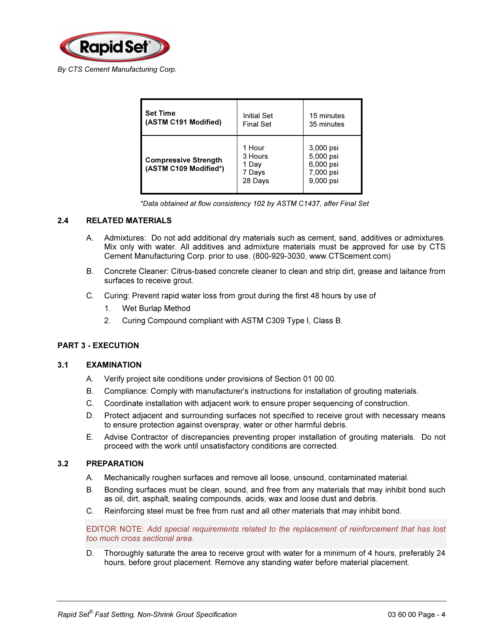

| <b>Set Time</b>                                      | <b>Initial Set</b>                              | 15 minutes                                                    |
|------------------------------------------------------|-------------------------------------------------|---------------------------------------------------------------|
| (ASTM C191 Modified)                                 | <b>Final Set</b>                                | 35 minutes                                                    |
| <b>Compressive Strength</b><br>(ASTM C109 Modified*) | 1 Hour<br>3 Hours<br>1 Day<br>7 Days<br>28 Days | 3,000 psi<br>5,000 psi<br>6,000 psi<br>7,000 psi<br>9,000 psi |

\*Data obtained at flow consistency 102 by ASTM C1437, after Final Set

## 2.4 RELATED MATERIALS

- A. Admixtures: Do not add additional dry materials such as cement, sand, additives or admixtures. Mix only with water. All additives and admixture materials must be approved for use by CTS Cement Manufacturing Corp. prior to use. (800-929-3030, www.CTScement.com)
- B. Concrete Cleaner: Citrus-based concrete cleaner to clean and strip dirt, grease and laitance from surfaces to receive grout.
- C. Curing: Prevent rapid water loss from grout during the first 48 hours by use of
	- 1. Wet Burlap Method
	- 2. Curing Compound compliant with ASTM C309 Type I, Class B.

# PART 3 - EXECUTION

#### 3.1 EXAMINATION

- A. Verify project site conditions under provisions of Section 01 00 00.
- B. Compliance: Comply with manufacturer's instructions for installation of grouting materials.
- C. Coordinate installation with adjacent work to ensure proper sequencing of construction.
- D. Protect adjacent and surrounding surfaces not specified to receive grout with necessary means to ensure protection against overspray, water or other harmful debris.
- E. Advise Contractor of discrepancies preventing proper installation of grouting materials. Do not proceed with the work until unsatisfactory conditions are corrected.

#### 3.2 PREPARATION

- A. Mechanically roughen surfaces and remove all loose, unsound, contaminated material.
- B. Bonding surfaces must be clean, sound, and free from any materials that may inhibit bond such as oil, dirt, asphalt, sealing compounds, acids, wax and loose dust and debris.
- C. Reinforcing steel must be free from rust and all other materials that may inhibit bond.

EDITOR NOTE: Add special requirements related to the replacement of reinforcement that has lost too much cross sectional area.

D. Thoroughly saturate the area to receive grout with water for a minimum of 4 hours, preferably 24 hours, before grout placement. Remove any standing water before material placement.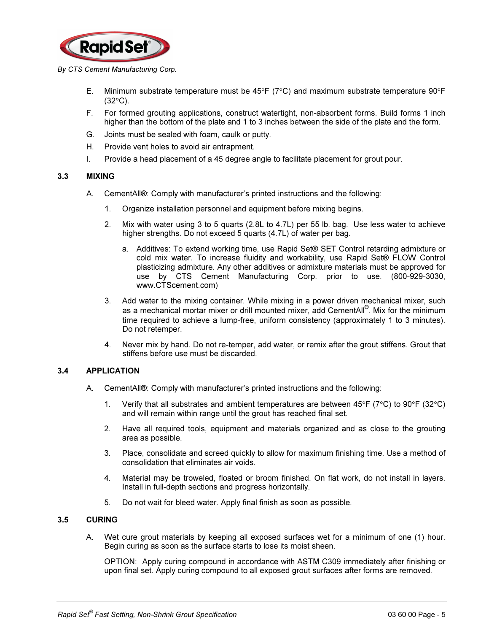

#### By CTS Cement Manufacturing Corp.

- E. Minimum substrate temperature must be 45°F (7°C) and maximum substrate temperature 90°F  $(32^{\circ}C)$ .
- F. For formed grouting applications, construct watertight, non-absorbent forms. Build forms 1 inch higher than the bottom of the plate and 1 to 3 inches between the side of the plate and the form.
- G. Joints must be sealed with foam, caulk or putty.
- H. Provide vent holes to avoid air entrapment.
- I. Provide a head placement of a 45 degree angle to facilitate placement for grout pour.

## 3.3 MIXING

- A. CementAll®: Comply with manufacturer's printed instructions and the following:
	- 1. Organize installation personnel and equipment before mixing begins.
	- 2. Mix with water using 3 to 5 quarts (2.8L to 4.7L) per 55 lb. bag. Use less water to achieve higher strengths. Do not exceed 5 quarts (4.7L) of water per bag.
		- a. Additives: To extend working time, use Rapid Set® SET Control retarding admixture or cold mix water. To increase fluidity and workability, use Rapid Set® FLOW Control plasticizing admixture. Any other additives or admixture materials must be approved for use by CTS Cement Manufacturing Corp. prior to use. (800-929-3030, www.CTScement.com)
	- 3. Add water to the mixing container. While mixing in a power driven mechanical mixer, such as a mechanical mortar mixer or drill mounted mixer, add CementAll® . Mix for the minimum time required to achieve a lump-free, uniform consistency (approximately 1 to 3 minutes). Do not retemper.
	- 4. Never mix by hand. Do not re-temper, add water, or remix after the grout stiffens. Grout that stiffens before use must be discarded.

## 3.4 APPLICATION

- A. CementAll®: Comply with manufacturer's printed instructions and the following:
	- 1. Verify that all substrates and ambient temperatures are between  $45^{\circ}F$  (7°C) to 90°F (32°C) and will remain within range until the grout has reached final set.
	- 2. Have all required tools, equipment and materials organized and as close to the grouting area as possible.
	- 3. Place, consolidate and screed quickly to allow for maximum finishing time. Use a method of consolidation that eliminates air voids.
	- 4. Material may be troweled, floated or broom finished. On flat work, do not install in layers. Install in full-depth sections and progress horizontally.
	- 5. Do not wait for bleed water. Apply final finish as soon as possible.

# 3.5 CURING

A. Wet cure grout materials by keeping all exposed surfaces wet for a minimum of one (1) hour. Begin curing as soon as the surface starts to lose its moist sheen.

 OPTION: Apply curing compound in accordance with ASTM C309 immediately after finishing or upon final set. Apply curing compound to all exposed grout surfaces after forms are removed.